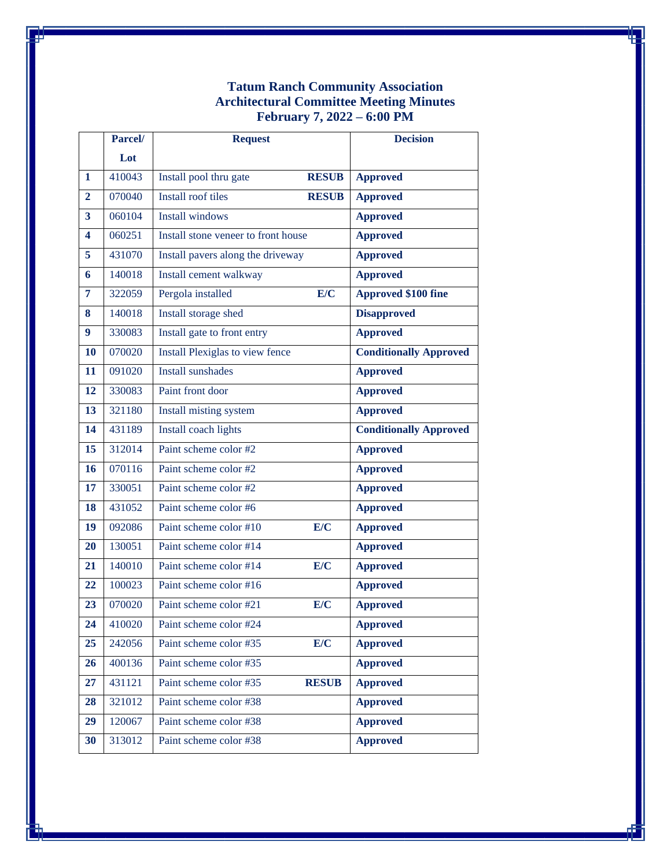## **Tatum Ranch Community Association Architectural Committee Meeting Minutes February 7, 2022 – 6:00 PM**

|                         | Parcel/ | <b>Request</b>                      |              | <b>Decision</b>               |
|-------------------------|---------|-------------------------------------|--------------|-------------------------------|
|                         | Lot     |                                     |              |                               |
| $\mathbf{1}$            | 410043  | Install pool thru gate              | <b>RESUB</b> | <b>Approved</b>               |
| $\overline{2}$          | 070040  | Install roof tiles                  | <b>RESUB</b> | <b>Approved</b>               |
| $\overline{\mathbf{3}}$ | 060104  | <b>Install windows</b>              |              | <b>Approved</b>               |
| $\overline{\mathbf{4}}$ | 060251  | Install stone veneer to front house |              | <b>Approved</b>               |
| 5                       | 431070  | Install pavers along the driveway   |              | <b>Approved</b>               |
| 6                       | 140018  | Install cement walkway              |              | <b>Approved</b>               |
| $\overline{7}$          | 322059  | Pergola installed                   | E/C          | <b>Approved \$100 fine</b>    |
| 8                       | 140018  | Install storage shed                |              | <b>Disapproved</b>            |
| 9                       | 330083  | Install gate to front entry         |              | <b>Approved</b>               |
| 10                      | 070020  | Install Plexiglas to view fence     |              | <b>Conditionally Approved</b> |
| 11                      | 091020  | <b>Install sunshades</b>            |              | <b>Approved</b>               |
| 12                      | 330083  | Paint front door                    |              | <b>Approved</b>               |
| 13                      | 321180  | <b>Install misting system</b>       |              | Approved                      |
| 14                      | 431189  | Install coach lights                |              | <b>Conditionally Approved</b> |
| 15                      | 312014  | Paint scheme color #2               |              | <b>Approved</b>               |
| 16                      | 070116  | Paint scheme color #2               |              | <b>Approved</b>               |
| 17                      | 330051  | Paint scheme color #2               |              | <b>Approved</b>               |
| 18                      | 431052  | Paint scheme color #6               |              | <b>Approved</b>               |
| 19                      | 092086  | Paint scheme color #10              | E/C          | <b>Approved</b>               |
| 20                      | 130051  | Paint scheme color #14              |              | <b>Approved</b>               |
| 21                      | 140010  | Paint scheme color #14              | E/C          | <b>Approved</b>               |
| 22                      | 100023  | Paint scheme color #16              |              | <b>Approved</b>               |
| 23                      | 070020  | Paint scheme color #21              | E/C          | <b>Approved</b>               |
| 24                      | 410020  | Paint scheme color #24              |              | <b>Approved</b>               |
| 25                      | 242056  | Paint scheme color #35              | E/C          | <b>Approved</b>               |
| 26                      | 400136  | Paint scheme color #35              |              | <b>Approved</b>               |
| 27                      | 431121  | Paint scheme color #35              | <b>RESUB</b> | <b>Approved</b>               |
| 28                      | 321012  | Paint scheme color #38              |              | <b>Approved</b>               |
| 29                      | 120067  | Paint scheme color #38              |              | <b>Approved</b>               |
| 30                      | 313012  | Paint scheme color #38              |              | <b>Approved</b>               |